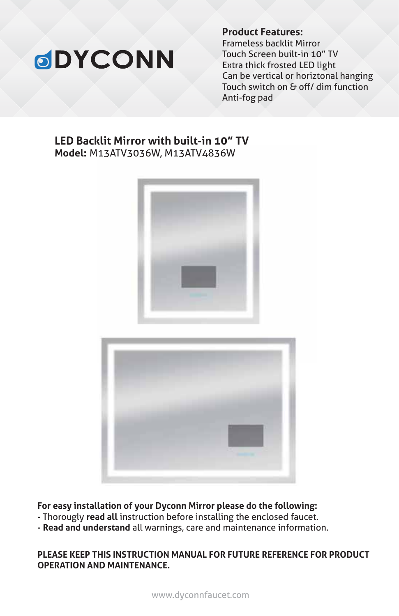# **ODYCONN**

**Product Features:**

Frameless backlit Mirror Touch Screen built-in 10" TV Extra thick frosted LED light Can be vertical or horiztonal hanging Touch switch on & off/ dim function Anti-fog pad

#### **LED Backlit Mirror with built-in 10" TV Model:** M13ATV3036W, M13ATV4836W





**For easy installation of your Dyconn Mirror please do the following:**

- **-** Thorougly **read all** instruction before installing the enclosed faucet.
- **Read and understand** all warnings, care and maintenance information.

#### **PLEASE KEEP THIS INSTRUCTION MANUAL FOR FUTURE REFERENCE FOR PRODUCT OPERATION AND MAINTENANCE.**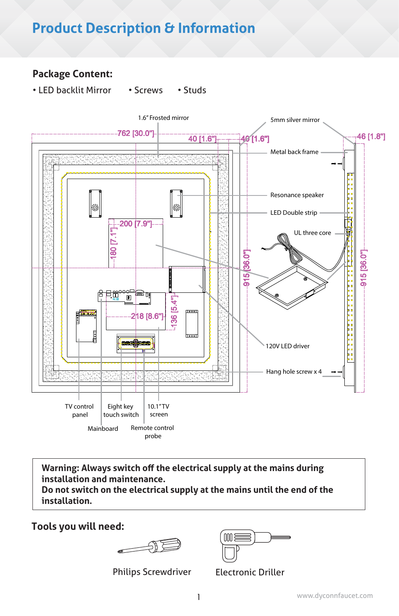# **Product Description & Information**

#### **Package Content:**

• LED backlit Mirror • Screws • Studs



**Warning: Always switch off the electrical supply at the mains during installation and maintenance.**

**Do not switch on the electrical supply at the mains until the end of the installation.**

**Tools you will need:**

 $\longrightarrow$ 

Philips Screwdriver Electronic Driller

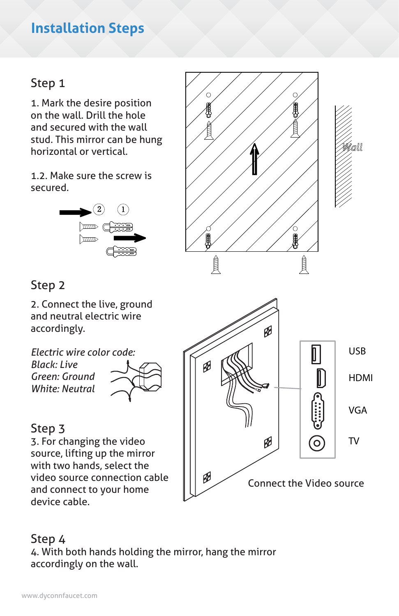#### **Installation Steps**

#### Step 1

1. Mark the desire position on the wall. Drill the hole and secured with the wall stud. This mirror can be hung horizontal or vertical.

1.2. Make sure the screw is secured.



# 員 員

#### Step 2

2. Connect the live, ground and neutral electric wire accordingly.

*Electric wire color code: Black: Live Green: Ground White: Neutral* 

#### Step 3

3. For changing the video source, lifting up the mirror with two hands, select the video source connection cable and connect to your home device cable.



#### Step 4

4. With both hands holding the mirror, hang the mirror accordingly on the wall.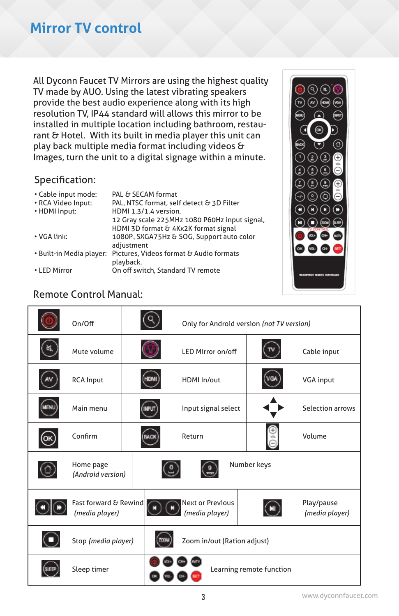# **Mirror TV control**

All Dyconn Faucet TV Mirrors are using the highest quality TV made by AUO. Using the latest vibrating speakers provide the best audio experience along with its high resolution TV, IP44 standard will allows this mirror to be installed in multiple location including bathroom, restaurant & Hotel. With its built in media player this unit can play back multiple media format including videos & Images, turn the unit to a digital signage within a minute.

#### Specification:

| • Cable input mode:<br>• RCA Video Input:<br>• HDMI Input: | PAL & SECAM format<br>PAL, NTSC format, self detect & 3D Filter<br>HDMI 1.3/1.4 version,<br>12 Gray scale 225MHz 1080 P60Hz input signal,<br>HDMI 3D format & 4Kx2K format signal |
|------------------------------------------------------------|-----------------------------------------------------------------------------------------------------------------------------------------------------------------------------------|
| • VGA link:                                                | 1080P, SXGA75Hz & SOG, Support auto color<br>adjustment                                                                                                                           |
| • Built-in Media player:                                   | Pictures, Videos format & Audio formats<br>playback.                                                                                                                              |
| • LED Mirror                                               | On off switch, Standard TV remote                                                                                                                                                 |



#### Remote Control Manual:

|    | On/Off                                  |  | Only for Android version (not TV version) |                          |                              |
|----|-----------------------------------------|--|-------------------------------------------|--------------------------|------------------------------|
|    | Mute volume                             |  | <b>LED Mirror on/off</b>                  |                          | Cable input                  |
|    | <b>RCA Input</b>                        |  | HDMI In/out                               |                          | VGA input                    |
|    | Main menu                               |  | Input signal select                       |                          | <b>Selection arrows</b>      |
| OK | Confirm                                 |  | Return                                    |                          | Volume                       |
|    | Home page<br>(Android version)          |  |                                           | Number keys              |                              |
|    | Fast forward & Rewind<br>(media player) |  | <b>Next or Previous</b><br>(media player) |                          | Play/pause<br>(media player) |
|    | Stop (media player)                     |  | Zoom in/out (Ration adjust)               |                          |                              |
|    | Sleep timer                             |  |                                           | Learning remote function |                              |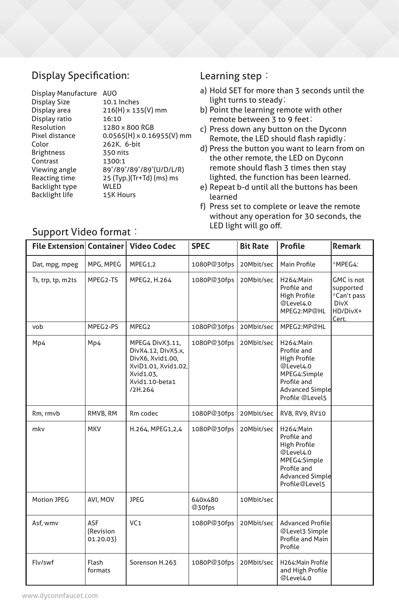#### Display Specification:

| Display Manufacture AUO |                                  |
|-------------------------|----------------------------------|
| Display Size            | 10.1 Inches                      |
| Display area            | 216(H) x 135(V) mm               |
| Display ratio           | 16:10                            |
| Resolution              | 1280 x 800 RGB                   |
| Pixel distance          | $0.0565(H) \times 0.16955(V)$ mm |
| Color                   | 262K. 6-bit                      |
| <b>Brightness</b>       | 350 nits                         |
| Contrast                | 1300:1                           |
| Viewing angle           | 89°/89°/89°/89°(U/D/L/R)         |
| <b>Reacting time</b>    | 25 (Typ.)(Tr+Td) (ms) ms         |
| <b>Backlight type</b>   | <b>WLED</b>                      |
| <b>Backlight life</b>   | 15K Hours                        |
|                         |                                  |

#### Learning step:

- a) Hold SET for more than 3 seconds until the light turns to steady;
- b) Point the learning remote with other remote between 3 to 9 feet;
- c) Press down any button on the Dyconn Remote, the LED should flash rapidly;
- d) Press the button you want to learn from on the other remote, the LED on Dyconn remote should flash 3 times then stay lighted, the function has been learned.
- e) Repeat b-d until all the buttons has been learned
- f) Press set to complete or leave the remote without any operation for 30 seconds, the LED light will go off.

| <b>File Extension Container</b> |                               | <b>Video Codec</b>                                                                                                         | <b>SPEC</b>       | <b>Bit Rate</b> | Profile                                                                                                                                  | <b>Remark</b>                                                              |
|---------------------------------|-------------------------------|----------------------------------------------------------------------------------------------------------------------------|-------------------|-----------------|------------------------------------------------------------------------------------------------------------------------------------------|----------------------------------------------------------------------------|
| Dat, mpg, mpeg                  | MPG, MPEG                     | MPEG1,2                                                                                                                    | 1080P@30fps       | 20Mbit/sec      | Main Profile                                                                                                                             | *MPEG4:                                                                    |
| Ts, trp, tp, m2ts               | MPEG2-TS                      | MPEG2, H.264                                                                                                               | 1080P@30fps       | 20Mbit/sec      | H264:Main<br>Profile and<br>High Profile<br>@Level4.0<br>MPEG2:MP@HL                                                                     | GMC is not<br>supported<br>*Can't pass<br><b>DivX</b><br>HD/DivX+<br>Cert. |
| vob                             | MPEG2-PS                      | MPEG <sub>2</sub>                                                                                                          | 1080P@30fps       | 20Mbit/sec      | MPEG2:MP@HL                                                                                                                              |                                                                            |
| Mp4                             | Mp4                           | MPEG4 DivX3.11,<br>DivX4.12, DivX5.x,<br>DivX6, Xvid1.00,<br>XviD1.01, Xvid1.02,<br>Xvid1.03.<br>Xvid1.10-beta1<br>/2H.264 | 1080P@30fps       | 20Mbit/sec      | H264:Main<br>Profile and<br><b>High Profile</b><br>@Level4.0<br>MPEG4:Simple<br>Profile and<br><b>Advanced Simple</b><br>Profile @Level5 |                                                                            |
| Rm, rmvb                        | RMVB, RM                      | Rm codec                                                                                                                   | 1080P@30fps       | 20Mbit/sec      | RV8, RV9, RV10                                                                                                                           |                                                                            |
| mkv                             | <b>MKV</b>                    | H.264, MPEG1,2,4                                                                                                           | 1080P@30fps       | 20Mbit/sec      | H264:Main<br>Profile and<br><b>High Profile</b><br>@Level4.0<br>MPEG4:Simple<br>Profile and<br><b>Advanced Simple</b><br>Profile@Level5  |                                                                            |
| Motion JPEG                     | AVI, MOV                      | <b>JPEG</b>                                                                                                                | 640x480<br>@30fps | 10Mbit/sec      |                                                                                                                                          |                                                                            |
| Asf, wmv                        | ASF<br>(Revision<br>01.20.03) | VC <sub>1</sub>                                                                                                            | 1080P@30fps       | 20Mbit/sec      | <b>Advanced Profile</b><br>@Level3 Simple<br>Profile and Main<br>Profile                                                                 |                                                                            |
| Flv/swf                         | Flash<br>formats              | Sorenson H.263                                                                                                             | 1080P@30fps       | 20Mbit/sec      | H264: Main Profile<br>and High Profile<br>@Level4.0                                                                                      |                                                                            |

#### Support Video format: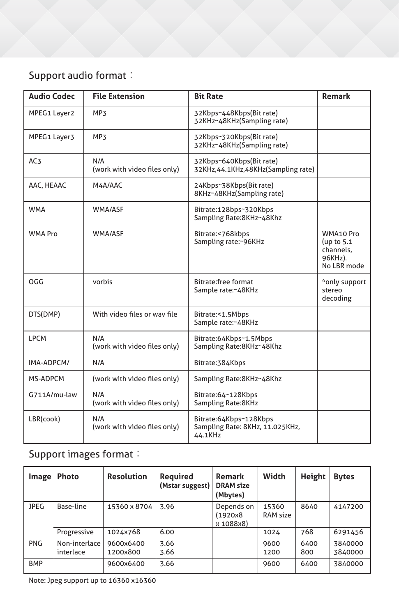# Support audio format:

| <b>Audio Codec</b> | <b>File Extension</b>               | <b>Bit Rate</b>                                                      | <b>Remark</b>                                                    |
|--------------------|-------------------------------------|----------------------------------------------------------------------|------------------------------------------------------------------|
| MPEG1 Layer2       | MP <sub>3</sub>                     | 32Kbps~448Kbps(Bit rate)<br>32KHz~48KHz(Sampling rate)               |                                                                  |
| MPEG1 Layer3       | MP <sub>3</sub>                     | 32Kbps~320Kbps(Bit rate)<br>32KHz~48KHz(Sampling rate)               |                                                                  |
| AC <sub>3</sub>    | N/A<br>(work with video files only) | 32Kbps~640Kbps(Bit rate)<br>32KHz,44.1KHz,48KHz(Sampling rate)       |                                                                  |
| AAC, HEAAC         | M4A/AAC                             | 24Kbps~38Kbps(Bit rate)<br>8KHz~48KHz(Sampling rate)                 |                                                                  |
| <b>WMA</b>         | WMA/ASF                             | Bitrate:128bps~320Kbps<br>Sampling Rate:8KHz~48Khz                   |                                                                  |
| <b>WMA Pro</b>     | WMA/ASF                             | Bitrate:<768kbps<br>Sampling rate:~96KHz                             | WMA10 Pro<br>(up to $5.1$<br>channels,<br>96KHz).<br>No LBR mode |
| OGG                | vorbis                              | <b>Bitrate:free format</b><br>Sample rate:~48KHz                     | *only support<br>stereo<br>decoding                              |
| DTS(DMP)           | With video files or way file        | Bitrate:<1.5Mbps<br>Sample rate:~48KHz                               |                                                                  |
| <b>LPCM</b>        | N/A<br>(work with video files only) | Bitrate:64Kbps~1.5Mbps<br>Sampling Rate:8KHz~48Khz                   |                                                                  |
| IMA-ADPCM/         | N/A                                 | Bitrate: 384Kbps                                                     |                                                                  |
| MS-ADPCM           | (work with video files only)        | Sampling Rate:8KHz~48Khz                                             |                                                                  |
| G711A/mu-law       | N/A<br>(work with video files only) | Bitrate:64~128Kbps<br>Sampling Rate:8KHz                             |                                                                  |
| LBR(cook)          | N/A<br>(work with video files only) | Bitrate:64Kbps~128Kbps<br>Sampling Rate: 8KHz, 11.025KHz,<br>44.1KHz |                                                                  |

# Support images format:

| Image       | <b>Photo</b>  | <b>Resolution</b> | <b>Required</b><br>(Mstar suggest) | Remark<br><b>DRAM</b> size<br>(Mbytes) | Width             | Height | <b>Bytes</b> |
|-------------|---------------|-------------------|------------------------------------|----------------------------------------|-------------------|--------|--------------|
| <b>JPEG</b> | Base-line     | 15360 x 8704      | 3.96                               | Depends on<br>(1920x8)<br>x 1088x8)    | 15360<br>RAM size | 8640   | 4147200      |
|             | Progressive   | 1024x768          | 6.00                               |                                        | 1024              | 768    | 6291456      |
| <b>PNG</b>  | Non-interlace | 9600x6400         | 3.66                               |                                        | 9600              | 6400   | 3840000      |
|             | interlace     | 1200x800          | 3.66                               |                                        | 1200              | 800    | 3840000      |
| <b>BMP</b>  |               | 9600x6400         | 3.66                               |                                        | 9600              | 6400   | 3840000      |

Note: Jpeg support up to 16360 x16360